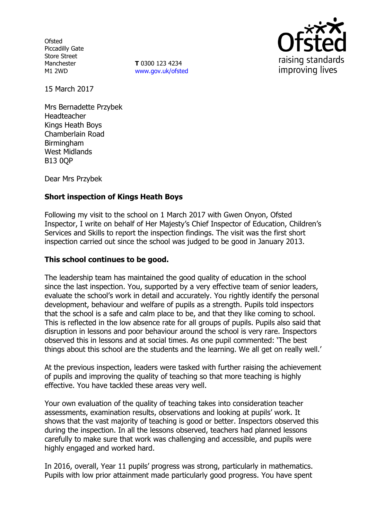**Ofsted** Piccadilly Gate Store Street Manchester M1 2WD

**T** 0300 123 4234 www.gov.uk/ofsted



15 March 2017

Mrs Bernadette Przybek Headteacher Kings Heath Boys Chamberlain Road **Birmingham** West Midlands B13 0QP

Dear Mrs Przybek

# **Short inspection of Kings Heath Boys**

Following my visit to the school on 1 March 2017 with Gwen Onyon, Ofsted Inspector, I write on behalf of Her Majesty's Chief Inspector of Education, Children's Services and Skills to report the inspection findings. The visit was the first short inspection carried out since the school was judged to be good in January 2013.

#### **This school continues to be good.**

The leadership team has maintained the good quality of education in the school since the last inspection. You, supported by a very effective team of senior leaders, evaluate the school's work in detail and accurately. You rightly identify the personal development, behaviour and welfare of pupils as a strength. Pupils told inspectors that the school is a safe and calm place to be, and that they like coming to school. This is reflected in the low absence rate for all groups of pupils. Pupils also said that disruption in lessons and poor behaviour around the school is very rare. Inspectors observed this in lessons and at social times. As one pupil commented: 'The best things about this school are the students and the learning. We all get on really well.'

At the previous inspection, leaders were tasked with further raising the achievement of pupils and improving the quality of teaching so that more teaching is highly effective. You have tackled these areas very well.

Your own evaluation of the quality of teaching takes into consideration teacher assessments, examination results, observations and looking at pupils' work. It shows that the vast majority of teaching is good or better. Inspectors observed this during the inspection. In all the lessons observed, teachers had planned lessons carefully to make sure that work was challenging and accessible, and pupils were highly engaged and worked hard.

In 2016, overall, Year 11 pupils' progress was strong, particularly in mathematics. Pupils with low prior attainment made particularly good progress. You have spent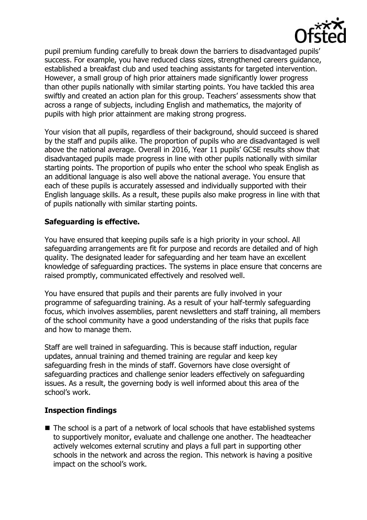

pupil premium funding carefully to break down the barriers to disadvantaged pupils' success. For example, you have reduced class sizes, strengthened careers guidance, established a breakfast club and used teaching assistants for targeted intervention. However, a small group of high prior attainers made significantly lower progress than other pupils nationally with similar starting points. You have tackled this area swiftly and created an action plan for this group. Teachers' assessments show that across a range of subjects, including English and mathematics, the majority of pupils with high prior attainment are making strong progress.

Your vision that all pupils, regardless of their background, should succeed is shared by the staff and pupils alike. The proportion of pupils who are disadvantaged is well above the national average. Overall in 2016, Year 11 pupils' GCSE results show that disadvantaged pupils made progress in line with other pupils nationally with similar starting points. The proportion of pupils who enter the school who speak English as an additional language is also well above the national average. You ensure that each of these pupils is accurately assessed and individually supported with their English language skills. As a result, these pupils also make progress in line with that of pupils nationally with similar starting points.

## **Safeguarding is effective.**

You have ensured that keeping pupils safe is a high priority in your school. All safeguarding arrangements are fit for purpose and records are detailed and of high quality. The designated leader for safeguarding and her team have an excellent knowledge of safeguarding practices. The systems in place ensure that concerns are raised promptly, communicated effectively and resolved well.

You have ensured that pupils and their parents are fully involved in your programme of safeguarding training. As a result of your half-termly safeguarding focus, which involves assemblies, parent newsletters and staff training, all members of the school community have a good understanding of the risks that pupils face and how to manage them.

Staff are well trained in safeguarding. This is because staff induction, regular updates, annual training and themed training are regular and keep key safeguarding fresh in the minds of staff. Governors have close oversight of safeguarding practices and challenge senior leaders effectively on safeguarding issues. As a result, the governing body is well informed about this area of the school's work.

# **Inspection findings**

 $\blacksquare$  The school is a part of a network of local schools that have established systems to supportively monitor, evaluate and challenge one another. The headteacher actively welcomes external scrutiny and plays a full part in supporting other schools in the network and across the region. This network is having a positive impact on the school's work.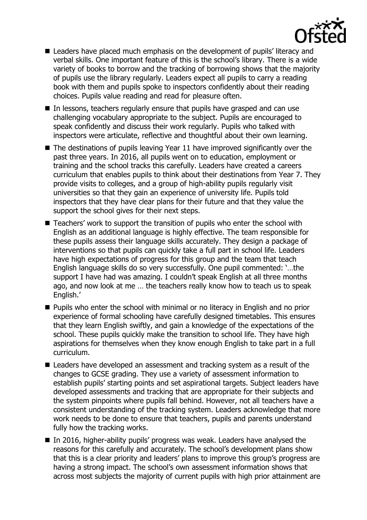

- Leaders have placed much emphasis on the development of pupils' literacy and verbal skills. One important feature of this is the school's library. There is a wide variety of books to borrow and the tracking of borrowing shows that the majority of pupils use the library regularly. Leaders expect all pupils to carry a reading book with them and pupils spoke to inspectors confidently about their reading choices. Pupils value reading and read for pleasure often.
- In lessons, teachers regularly ensure that pupils have grasped and can use challenging vocabulary appropriate to the subject. Pupils are encouraged to speak confidently and discuss their work regularly. Pupils who talked with inspectors were articulate, reflective and thoughtful about their own learning.
- $\blacksquare$  The destinations of pupils leaving Year 11 have improved significantly over the past three years. In 2016, all pupils went on to education, employment or training and the school tracks this carefully. Leaders have created a careers curriculum that enables pupils to think about their destinations from Year 7. They provide visits to colleges, and a group of high-ability pupils regularly visit universities so that they gain an experience of university life. Pupils told inspectors that they have clear plans for their future and that they value the support the school gives for their next steps.
- Teachers' work to support the transition of pupils who enter the school with English as an additional language is highly effective. The team responsible for these pupils assess their language skills accurately. They design a package of interventions so that pupils can quickly take a full part in school life. Leaders have high expectations of progress for this group and the team that teach English language skills do so very successfully. One pupil commented: '…the support I have had was amazing. I couldn't speak English at all three months ago, and now look at me … the teachers really know how to teach us to speak English.'
- **Pupils who enter the school with minimal or no literacy in English and no prior** experience of formal schooling have carefully designed timetables. This ensures that they learn English swiftly, and gain a knowledge of the expectations of the school. These pupils quickly make the transition to school life. They have high aspirations for themselves when they know enough English to take part in a full curriculum.
- Leaders have developed an assessment and tracking system as a result of the changes to GCSE grading. They use a variety of assessment information to establish pupils' starting points and set aspirational targets. Subject leaders have developed assessments and tracking that are appropriate for their subjects and the system pinpoints where pupils fall behind. However, not all teachers have a consistent understanding of the tracking system. Leaders acknowledge that more work needs to be done to ensure that teachers, pupils and parents understand fully how the tracking works.
- In 2016, higher-ability pupils' progress was weak. Leaders have analysed the reasons for this carefully and accurately. The school's development plans show that this is a clear priority and leaders' plans to improve this group's progress are having a strong impact. The school's own assessment information shows that across most subjects the majority of current pupils with high prior attainment are